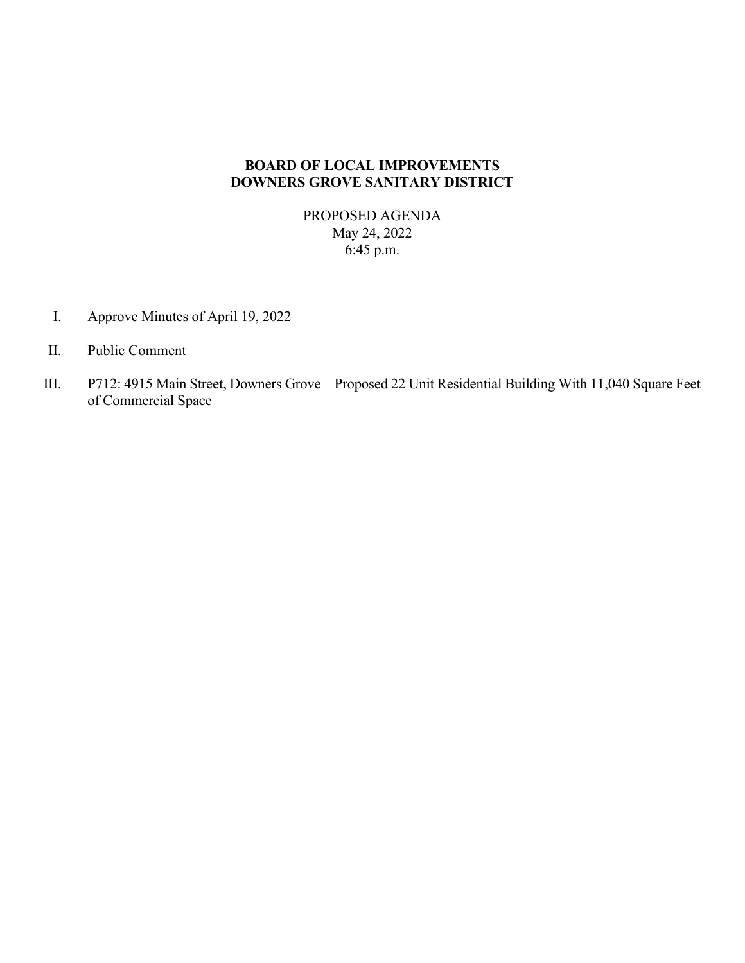# **BOARD OF LOCAL IMPROVEMENTS DOWNERS GROVE SANITARY DISTRICT**

PROPOSED AGENDA May 24, 2022 6:45 p.m.

- I. Approve Minutes of April 19, 2022
- II. Public Comment
- III. P712: 4915 Main Street, Downers Grove Proposed 22 Unit Residential Building With 11,040 Square Feet of Commercial Space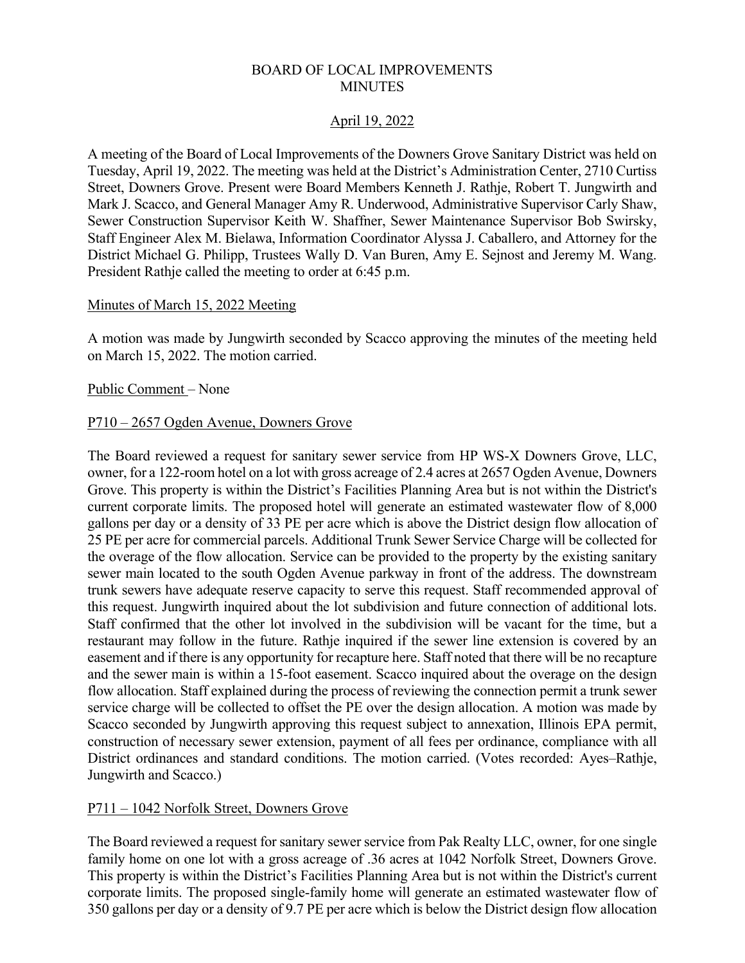# BOARD OF LOCAL IMPROVEMENTS MINUTES

# April 19, 2022

A meeting of the Board of Local Improvements of the Downers Grove Sanitary District was held on Tuesday, April 19, 2022. The meeting was held at the District's Administration Center, 2710 Curtiss Street, Downers Grove. Present were Board Members Kenneth J. Rathje, Robert T. Jungwirth and Mark J. Scacco, and General Manager Amy R. Underwood, Administrative Supervisor Carly Shaw, Sewer Construction Supervisor Keith W. Shaffner, Sewer Maintenance Supervisor Bob Swirsky, Staff Engineer Alex M. Bielawa, Information Coordinator Alyssa J. Caballero, and Attorney for the District Michael G. Philipp, Trustees Wally D. Van Buren, Amy E. Sejnost and Jeremy M. Wang. President Rathje called the meeting to order at 6:45 p.m.

# Minutes of March 15, 2022 Meeting

A motion was made by Jungwirth seconded by Scacco approving the minutes of the meeting held on March 15, 2022. The motion carried.

# Public Comment – None

# P710 – 2657 Ogden Avenue, Downers Grove

The Board reviewed a request for sanitary sewer service from HP WS-X Downers Grove, LLC, owner, for a 122-room hotel on a lot with gross acreage of 2.4 acres at 2657 Ogden Avenue, Downers Grove. This property is within the District's Facilities Planning Area but is not within the District's current corporate limits. The proposed hotel will generate an estimated wastewater flow of 8,000 gallons per day or a density of 33 PE per acre which is above the District design flow allocation of 25 PE per acre for commercial parcels. Additional Trunk Sewer Service Charge will be collected for the overage of the flow allocation. Service can be provided to the property by the existing sanitary sewer main located to the south Ogden Avenue parkway in front of the address. The downstream trunk sewers have adequate reserve capacity to serve this request. Staff recommended approval of this request. Jungwirth inquired about the lot subdivision and future connection of additional lots. Staff confirmed that the other lot involved in the subdivision will be vacant for the time, but a restaurant may follow in the future. Rathje inquired if the sewer line extension is covered by an easement and if there is any opportunity for recapture here. Staff noted that there will be no recapture and the sewer main is within a 15-foot easement. Scacco inquired about the overage on the design flow allocation. Staff explained during the process of reviewing the connection permit a trunk sewer service charge will be collected to offset the PE over the design allocation. A motion was made by Scacco seconded by Jungwirth approving this request subject to annexation, Illinois EPA permit, construction of necessary sewer extension, payment of all fees per ordinance, compliance with all District ordinances and standard conditions. The motion carried. (Votes recorded: Ayes–Rathje, Jungwirth and Scacco.)

# P711 – 1042 Norfolk Street, Downers Grove

The Board reviewed a request for sanitary sewer service from Pak Realty LLC, owner, for one single family home on one lot with a gross acreage of .36 acres at 1042 Norfolk Street, Downers Grove. This property is within the District's Facilities Planning Area but is not within the District's current corporate limits. The proposed single-family home will generate an estimated wastewater flow of 350 gallons per day or a density of 9.7 PE per acre which is below the District design flow allocation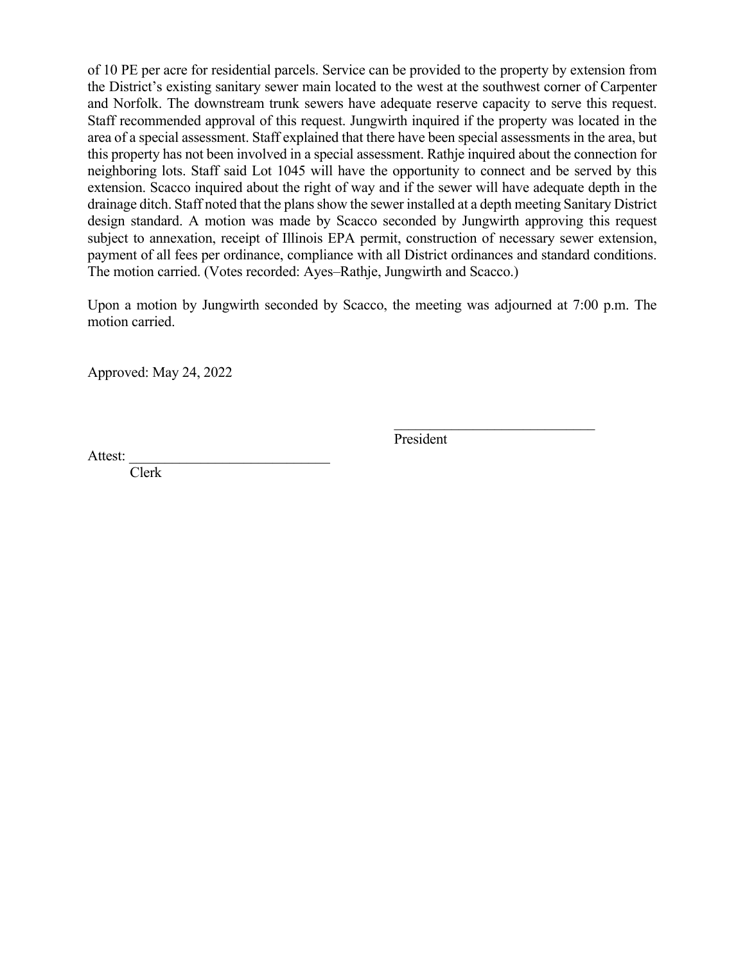of 10 PE per acre for residential parcels. Service can be provided to the property by extension from the District's existing sanitary sewer main located to the west at the southwest corner of Carpenter and Norfolk. The downstream trunk sewers have adequate reserve capacity to serve this request. Staff recommended approval of this request. Jungwirth inquired if the property was located in the area of a special assessment. Staff explained that there have been special assessments in the area, but this property has not been involved in a special assessment. Rathje inquired about the connection for neighboring lots. Staff said Lot 1045 will have the opportunity to connect and be served by this extension. Scacco inquired about the right of way and if the sewer will have adequate depth in the drainage ditch. Staff noted that the plans show the sewer installed at a depth meeting Sanitary District design standard. A motion was made by Scacco seconded by Jungwirth approving this request subject to annexation, receipt of Illinois EPA permit, construction of necessary sewer extension, payment of all fees per ordinance, compliance with all District ordinances and standard conditions. The motion carried. (Votes recorded: Ayes–Rathje, Jungwirth and Scacco.)

Upon a motion by Jungwirth seconded by Scacco, the meeting was adjourned at 7:00 p.m. The motion carried.

Approved: May 24, 2022

President

Attest:

Clerk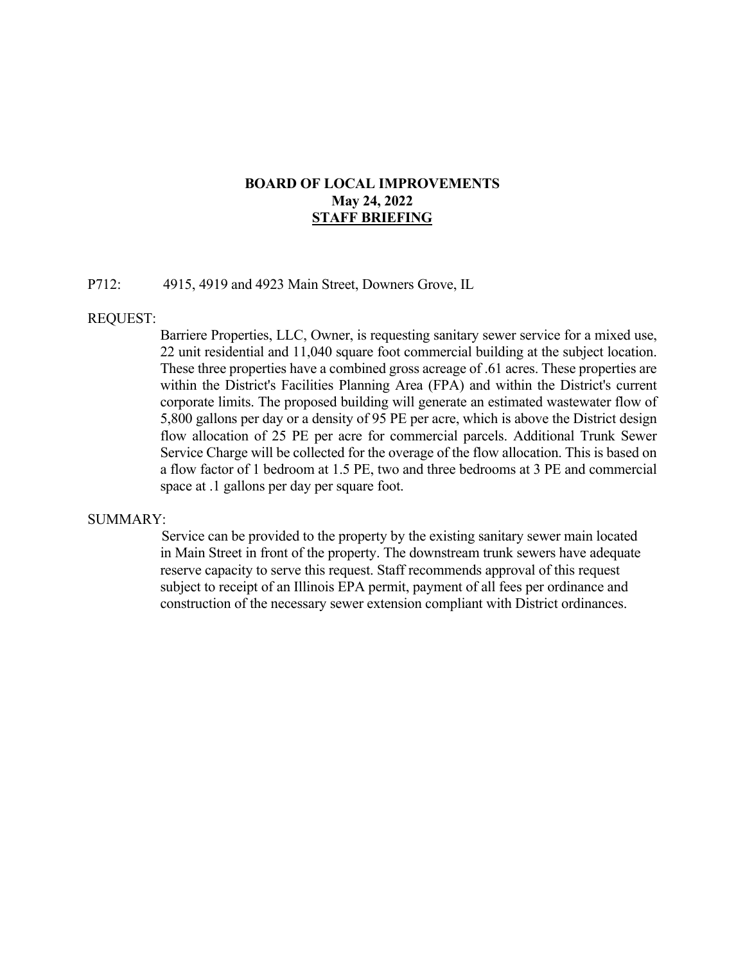# **BOARD OF LOCAL IMPROVEMENTS May 24, 2022 STAFF BRIEFING**

## P712: 4915, 4919 and 4923 Main Street, Downers Grove, IL

### REQUEST:

 Barriere Properties, LLC, Owner, is requesting sanitary sewer service for a mixed use, 22 unit residential and 11,040 square foot commercial building at the subject location. These three properties have a combined gross acreage of .61 acres. These properties are within the District's Facilities Planning Area (FPA) and within the District's current corporate limits. The proposed building will generate an estimated wastewater flow of 5,800 gallons per day or a density of 95 PE per acre, which is above the District design flow allocation of 25 PE per acre for commercial parcels. Additional Trunk Sewer Service Charge will be collected for the overage of the flow allocation. This is based on a flow factor of 1 bedroom at 1.5 PE, two and three bedrooms at 3 PE and commercial space at .1 gallons per day per square foot.

#### SUMMARY:

 Service can be provided to the property by the existing sanitary sewer main located in Main Street in front of the property. The downstream trunk sewers have adequate reserve capacity to serve this request. Staff recommends approval of this request subject to receipt of an Illinois EPA permit, payment of all fees per ordinance and construction of the necessary sewer extension compliant with District ordinances.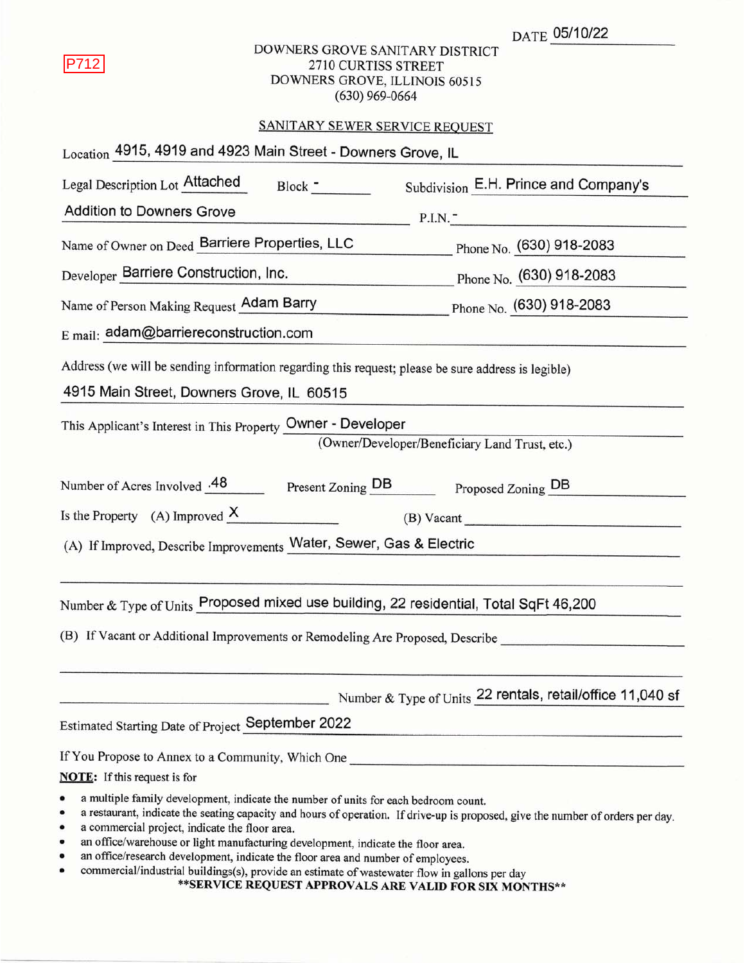|  |  | <sub>DATE</sub> 05/10/22 |
|--|--|--------------------------|
|--|--|--------------------------|

# DOWNERS GROVE SANITARY DISTRICT 2710 CURTISS STREET DOWNERS GROVE, ILLINOIS 60515  $(630)$  969-0664

# SANITARY SEWER SERVICE REQUEST

| Location 4915, 4919 and 4923 Main Street - Downers Grove, IL                                                                                                                                                                                                                                                                                                                                                                                                              |                                                            |
|---------------------------------------------------------------------------------------------------------------------------------------------------------------------------------------------------------------------------------------------------------------------------------------------------------------------------------------------------------------------------------------------------------------------------------------------------------------------------|------------------------------------------------------------|
| Legal Description Lot Attached<br>Block <u>- Louis Communication</u>                                                                                                                                                                                                                                                                                                                                                                                                      | Subdivision E.H. Prince and Company's                      |
| <b>Addition to Downers Grove</b><br><b>CONTRACTOR</b> CONTRACTOR                                                                                                                                                                                                                                                                                                                                                                                                          | P.I.N.<br>the company of the company of the company        |
| Name of Owner on Deed Barriere Properties, LLC                                                                                                                                                                                                                                                                                                                                                                                                                            | Phone No. (630) 918-2083                                   |
| Developer Barriere Construction, Inc.                                                                                                                                                                                                                                                                                                                                                                                                                                     | Phone No. (630) 918-2083                                   |
| Name of Person Making Request Adam Barry                                                                                                                                                                                                                                                                                                                                                                                                                                  | Phone No. (630) 918-2083                                   |
| $E$ mail: adam@barriereconstruction.com                                                                                                                                                                                                                                                                                                                                                                                                                                   |                                                            |
| Address (we will be sending information regarding this request; please be sure address is legible)<br>4915 Main Street, Downers Grove, IL 60515                                                                                                                                                                                                                                                                                                                           |                                                            |
| This Applicant's Interest in This Property Owner - Developer                                                                                                                                                                                                                                                                                                                                                                                                              | (Owner/Developer/Beneficiary Land Trust, etc.)             |
| Number of Acres Involved .48 Present Zoning DB Proposed Zoning DB                                                                                                                                                                                                                                                                                                                                                                                                         |                                                            |
| Is the Property $(A)$ Improved $X$                                                                                                                                                                                                                                                                                                                                                                                                                                        | $(B)$ Vacant                                               |
| (A) If Improved, Describe Improvements Water, Sewer, Gas & Electric                                                                                                                                                                                                                                                                                                                                                                                                       |                                                            |
| Number & Type of Units Proposed mixed use building, 22 residential, Total SqFt 46,200                                                                                                                                                                                                                                                                                                                                                                                     |                                                            |
| (B) If Vacant or Additional Improvements or Remodeling Are Proposed, Describe                                                                                                                                                                                                                                                                                                                                                                                             |                                                            |
|                                                                                                                                                                                                                                                                                                                                                                                                                                                                           | Number & Type of Units 22 rentals, retail/office 11,040 sf |
| Estimated Starting Date of Project September 2022                                                                                                                                                                                                                                                                                                                                                                                                                         |                                                            |
| If You Propose to Annex to a Community, Which One ______________________________                                                                                                                                                                                                                                                                                                                                                                                          |                                                            |
| <b>NOTE:</b> If this request is for                                                                                                                                                                                                                                                                                                                                                                                                                                       |                                                            |
| a multiple family development, indicate the number of units for each bedroom count.<br>٠<br>a restaurant, indicate the seating capacity and hours of operation. If drive-up is proposed, give the number of orders per day.<br>٠<br>a commercial project, indicate the floor area.<br>٠<br>an office/warehouse or light manufacturing development, indicate the floor area.<br>٠<br>an office/research development, indicate the floor area and number of employees.<br>٠ |                                                            |

commercial/industrial buildings(s), provide an estimate of wastewater flow in gallons per day<br>\*\*SERVICE REQUEST APPROVALS ARE VALID FOR SIX MONTHS\*\*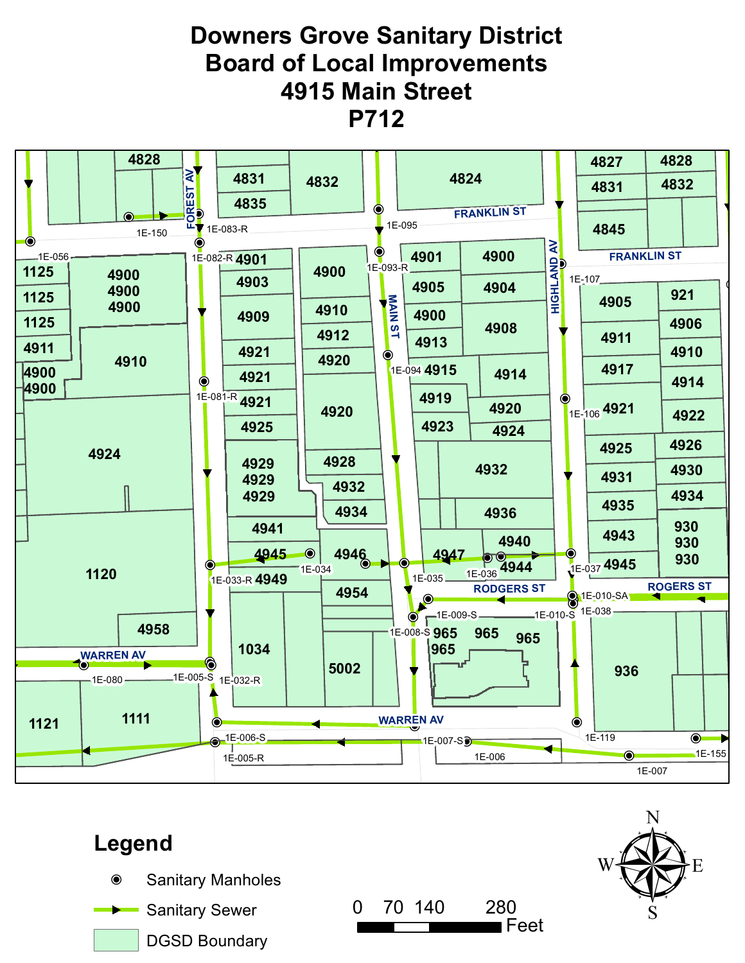# **Downers Grove Sanitary District Board of Local Improvements 4915 Main Street P712**